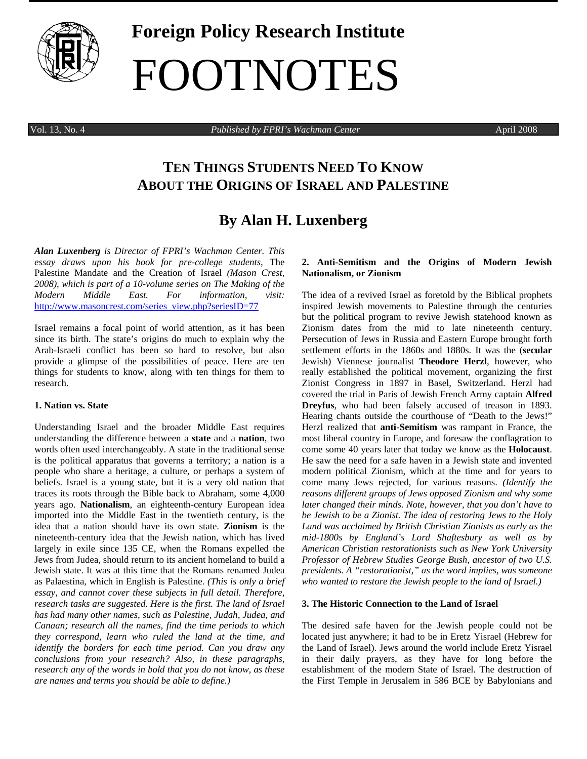

# **Foreign Policy Research Institute**  FOOTNOTES

Vol. 13, No. 4 *Published by FPRI's Wachman Center* April 2008

# **TEN THINGS STUDENTS NEED TO KNOW ABOUT THE ORIGINS OF ISRAEL AND PALESTINE**

# **By Alan H. Luxenberg**

*Alan Luxenberg is Director of FPRI's Wachman Center. This essay draws upon his book for pre-college students,* The Palestine Mandate and the Creation of Israel *(Mason Crest, 2008), which is part of a 10-volume series on The Making of the Modern Middle East. For information, visit:*  http://www.masoncrest.com/series\_view.php?seriesID=77

Israel remains a focal point of world attention, as it has been since its birth. The state's origins do much to explain why the Arab-Israeli conflict has been so hard to resolve, but also provide a glimpse of the possibilities of peace. Here are ten things for students to know, along with ten things for them to research.

#### **1. Nation vs. State**

Understanding Israel and the broader Middle East requires understanding the difference between a **state** and a **nation**, two words often used interchangeably. A state in the traditional sense is the political apparatus that governs a territory; a nation is a people who share a heritage, a culture, or perhaps a system of beliefs. Israel is a young state, but it is a very old nation that traces its roots through the Bible back to Abraham, some 4,000 years ago. **Nationalism**, an eighteenth-century European idea imported into the Middle East in the twentieth century, is the idea that a nation should have its own state. **Zionism** is the nineteenth-century idea that the Jewish nation, which has lived largely in exile since 135 CE, when the Romans expelled the Jews from Judea, should return to its ancient homeland to build a Jewish state. It was at this time that the Romans renamed Judea as Palaestina, which in English is Palestine. *(This is only a brief essay, and cannot cover these subjects in full detail. Therefore, research tasks are suggested. Here is the first. The land of Israel has had many other names, such as Palestine, Judah, Judea, and Canaan; research all the names, find the time periods to which they correspond, learn who ruled the land at the time, and identify the borders for each time period. Can you draw any conclusions from your research? Also, in these paragraphs, research any of the words in bold that you do not know, as these are names and terms you should be able to define.)*

## **2. Anti-Semitism and the Origins of Modern Jewish Nationalism, or Zionism**

The idea of a revived Israel as foretold by the Biblical prophets inspired Jewish movements to Palestine through the centuries but the political program to revive Jewish statehood known as Zionism dates from the mid to late nineteenth century. Persecution of Jews in Russia and Eastern Europe brought forth settlement efforts in the 1860s and 1880s. It was the (**secular** Jewish) Viennese journalist **Theodore Herzl**, however, who really established the political movement, organizing the first Zionist Congress in 1897 in Basel, Switzerland. Herzl had covered the trial in Paris of Jewish French Army captain **Alfred Dreyfus**, who had been falsely accused of treason in 1893. Hearing chants outside the courthouse of "Death to the Jews!" Herzl realized that **anti-Semitism** was rampant in France, the most liberal country in Europe, and foresaw the conflagration to come some 40 years later that today we know as the **Holocaust**. He saw the need for a safe haven in a Jewish state and invented modern political Zionism, which at the time and for years to come many Jews rejected, for various reasons. *(Identify the reasons different groups of Jews opposed Zionism and why some later changed their minds. Note, however, that you don't have to be Jewish to be a Zionist. The idea of restoring Jews to the Holy Land was acclaimed by British Christian Zionists as early as the mid-1800s by England's Lord Shaftesbury as well as by American Christian restorationists such as New York University Professor of Hebrew Studies George Bush, ancestor of two U.S. presidents. A "restorationist," as the word implies, was someone who wanted to restore the Jewish people to the land of Israel.)* 

#### **3. The Historic Connection to the Land of Israel**

The desired safe haven for the Jewish people could not be located just anywhere; it had to be in Eretz Yisrael (Hebrew for the Land of Israel). Jews around the world include Eretz Yisrael in their daily prayers, as they have for long before the establishment of the modern State of Israel. The destruction of the First Temple in Jerusalem in 586 BCE by Babylonians and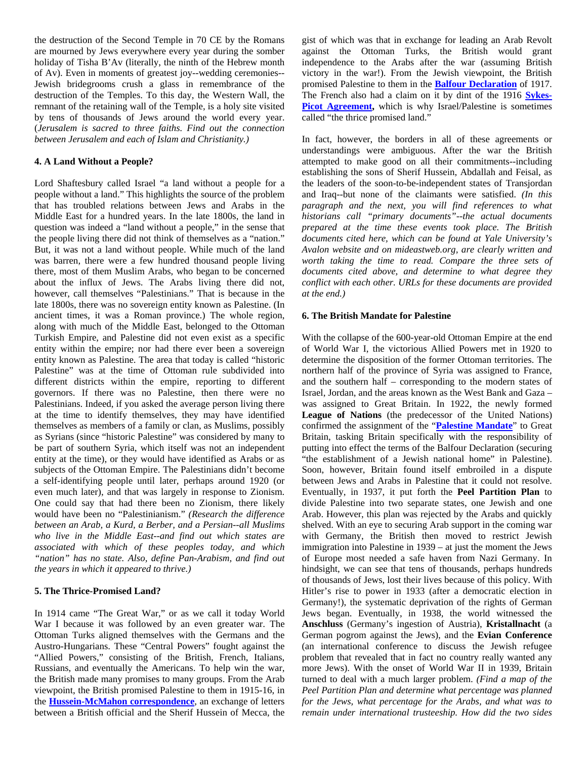the destruction of the Second Temple in 70 CE by the Romans are mourned by Jews everywhere every year during the somber holiday of Tisha B'Av (literally, the ninth of the Hebrew month of Av). Even in moments of greatest joy--wedding ceremonies-- Jewish bridegrooms crush a glass in remembrance of the destruction of the Temples. To this day, the Western Wall, the remnant of the retaining wall of the Temple, is a holy site visited by tens of thousands of Jews around the world every year. (*Jerusalem is sacred to three faiths. Find out the connection between Jerusalem and each of Islam and Christianity.)* 

## **4. A Land Without a People?**

Lord Shaftesbury called Israel "a land without a people for a people without a land." This highlights the source of the problem that has troubled relations between Jews and Arabs in the Middle East for a hundred years. In the late 1800s, the land in question was indeed a "land without a people," in the sense that the people living there did not think of themselves as a "nation." But, it was not a land without people. While much of the land was barren, there were a few hundred thousand people living there, most of them Muslim Arabs, who began to be concerned about the influx of Jews. The Arabs living there did not, however, call themselves "Palestinians." That is because in the late 1800s, there was no sovereign entity known as Palestine. (In ancient times, it was a Roman province.) The whole region, along with much of the Middle East, belonged to the Ottoman Turkish Empire, and Palestine did not even exist as a specific entity within the empire; nor had there ever been a sovereign entity known as Palestine. The area that today is called "historic Palestine" was at the time of Ottoman rule subdivided into different districts within the empire, reporting to different governors. If there was no Palestine, then there were no Palestinians. Indeed, if you asked the average person living there at the time to identify themselves, they may have identified themselves as members of a family or clan, as Muslims, possibly as Syrians (since "historic Palestine" was considered by many to be part of southern Syria, which itself was not an independent entity at the time), or they would have identified as Arabs or as subjects of the Ottoman Empire. The Palestinians didn't become a self-identifying people until later, perhaps around 1920 (or even much later), and that was largely in response to Zionism. One could say that had there been no Zionism, there likely would have been no "Palestinianism." *(Research the difference between an Arab, a Kurd, a Berber, and a Persian--all Muslims who live in the Middle East--and find out which states are associated with which of these peoples today, and which "nation" has no state. Also, define Pan-Arabism, and find out the years in which it appeared to thrive.)*

## **5. The Thrice-Promised Land?**

In 1914 came "The Great War," or as we call it today World War I because it was followed by an even greater war. The Ottoman Turks aligned themselves with the Germans and the Austro-Hungarians. These "Central Powers" fought against the "Allied Powers," consisting of the British, French, Italians, Russians, and eventually the Americans. To help win the war, the British made many promises to many groups. From the Arab viewpoint, the British promised Palestine to them in 1915-16, in the **Hussein-McMahon correspondence**, an exchange of letters between a British official and the Sherif Hussein of Mecca, the gist of which was that in exchange for leading an Arab Revolt against the Ottoman Turks, the British would grant independence to the Arabs after the war (assuming British victory in the war!). From the Jewish viewpoint, the British promised Palestine to them in the **Balfour Declaration** of 1917. The French also had a claim on it by dint of the 1916 **Sykes-Picot Agreement,** which is why Israel/Palestine is sometimes called "the thrice promised land."

In fact, however, the borders in all of these agreements or understandings were ambiguous. After the war the British attempted to make good on all their commitments--including establishing the sons of Sherif Hussein, Abdallah and Feisal, as the leaders of the soon-to-be-independent states of Transjordan and Iraq--but none of the claimants were satisfied. *(In this paragraph and the next, you will find references to what historians call "primary documents"--the actual documents prepared at the time these events took place. The British documents cited here, which can be found at Yale University's Avalon website and on mideastweb.org, are clearly written and worth taking the time to read. Compare the three sets of documents cited above, and determine to what degree they conflict with each other. URLs for these documents are provided at the end.)* 

#### **6. The British Mandate for Palestine**

With the collapse of the 600-year-old Ottoman Empire at the end of World War I, the victorious Allied Powers met in 1920 to determine the disposition of the former Ottoman territories. The northern half of the province of Syria was assigned to France, and the southern half – corresponding to the modern states of Israel, Jordan, and the areas known as the West Bank and Gaza – was assigned to Great Britain. In 1922, the newly formed **League of Nations** (the predecessor of the United Nations) confirmed the assignment of the "**Palestine Mandate**" to Great Britain, tasking Britain specifically with the responsibility of putting into effect the terms of the Balfour Declaration (securing "the establishment of a Jewish national home" in Palestine). Soon, however, Britain found itself embroiled in a dispute between Jews and Arabs in Palestine that it could not resolve. Eventually, in 1937, it put forth the **Peel Partition Plan** to divide Palestine into two separate states, one Jewish and one Arab. However, this plan was rejected by the Arabs and quickly shelved. With an eye to securing Arab support in the coming war with Germany, the British then moved to restrict Jewish immigration into Palestine in 1939 – at just the moment the Jews of Europe most needed a safe haven from Nazi Germany. In hindsight, we can see that tens of thousands, perhaps hundreds of thousands of Jews, lost their lives because of this policy. With Hitler's rise to power in 1933 (after a democratic election in Germany!), the systematic deprivation of the rights of German Jews began. Eventually, in 1938, the world witnessed the **Anschluss** (Germany's ingestion of Austria), **Kristallnacht** (a German pogrom against the Jews), and the **Evian Conference** (an international conference to discuss the Jewish refugee problem that revealed that in fact no country really wanted any more Jews). With the onset of World War II in 1939, Britain turned to deal with a much larger problem. *(Find a map of the Peel Partition Plan and determine what percentage was planned for the Jews, what percentage for the Arabs, and what was to remain under international trusteeship. How did the two sides*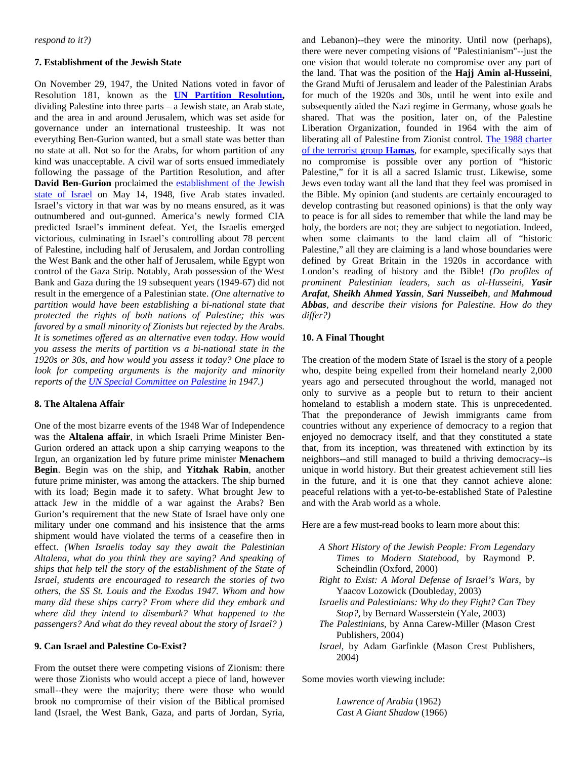#### **7. Establishment of the Jewish State**

On November 29, 1947, the United Nations voted in favor of Resolution 181, known as the **UN Partition Resolution,**  dividing Palestine into three parts – a Jewish state, an Arab state, and the area in and around Jerusalem, which was set aside for governance under an international trusteeship. It was not everything Ben-Gurion wanted, but a small state was better than no state at all. Not so for the Arabs, for whom partition of any kind was unacceptable. A civil war of sorts ensued immediately following the passage of the Partition Resolution, and after **David Ben-Gurion** proclaimed the establishment of the Jewish state of Israel on May 14, 1948, five Arab states invaded. Israel's victory in that war was by no means ensured, as it was outnumbered and out-gunned. America's newly formed CIA predicted Israel's imminent defeat. Yet, the Israelis emerged victorious, culminating in Israel's controlling about 78 percent of Palestine, including half of Jerusalem, and Jordan controlling the West Bank and the other half of Jerusalem, while Egypt won control of the Gaza Strip. Notably, Arab possession of the West Bank and Gaza during the 19 subsequent years (1949-67) did not result in the emergence of a Palestinian state. *(One alternative to partition would have been establishing a bi-national state that protected the rights of both nations of Palestine; this was favored by a small minority of Zionists but rejected by the Arabs. It is sometimes offered as an alternative even today. How would you assess the merits of partition vs a bi-national state in the 1920s or 30s, and how would you assess it today? One place to look for competing arguments is the majority and minority reports of the UN Special Committee on Palestine in 1947.)* 

# **8. The Altalena Affair**

One of the most bizarre events of the 1948 War of Independence was the **Altalena affair**, in which Israeli Prime Minister Ben-Gurion ordered an attack upon a ship carrying weapons to the Irgun, an organization led by future prime minister **Menachem Begin**. Begin was on the ship, and **Yitzhak Rabin**, another future prime minister, was among the attackers. The ship burned with its load; Begin made it to safety. What brought Jew to attack Jew in the middle of a war against the Arabs? Ben Gurion's requirement that the new State of Israel have only one military under one command and his insistence that the arms shipment would have violated the terms of a ceasefire then in effect. *(When Israelis today say they await the Palestinian Altalena, what do you think they are saying? And speaking of ships that help tell the story of the establishment of the State of Israel, students are encouraged to research the stories of two others, the SS St. Louis and the Exodus 1947. Whom and how many did these ships carry? From where did they embark and where did they intend to disembark? What happened to the passengers? And what do they reveal about the story of Israel? )*

# **9. Can Israel and Palestine Co-Exist?**

From the outset there were competing visions of Zionism: there were those Zionists who would accept a piece of land, however small--they were the majority; there were those who would brook no compromise of their vision of the Biblical promised land (Israel, the West Bank, Gaza, and parts of Jordan, Syria,

and Lebanon)--they were the minority. Until now (perhaps), there were never competing visions of "Palestinianism"--just the one vision that would tolerate no compromise over any part of the land. That was the position of the **Hajj Amin al-Husseini**, the Grand Mufti of Jerusalem and leader of the Palestinian Arabs for much of the 1920s and 30s, until he went into exile and subsequently aided the Nazi regime in Germany, whose goals he shared. That was the position, later on, of the Palestine Liberation Organization, founded in 1964 with the aim of liberating all of Palestine from Zionist control. The 1988 charter of the terrorist group **Hamas**, for example, specifically says that no compromise is possible over any portion of "historic Palestine," for it is all a sacred Islamic trust. Likewise, some Jews even today want all the land that they feel was promised in the Bible. My opinion (and students are certainly encouraged to develop contrasting but reasoned opinions) is that the only way to peace is for all sides to remember that while the land may be holy, the borders are not; they are subject to negotiation. Indeed, when some claimants to the land claim all of "historic Palestine," all they are claiming is a land whose boundaries were defined by Great Britain in the 1920s in accordance with London's reading of history and the Bible! *(Do profiles of prominent Palestinian leaders, such as al-Husseini, Yasir Arafat, Sheikh Ahmed Yassin, Sari Nusseibeh, and Mahmoud Abbas, and describe their visions for Palestine. How do they differ?)* 

#### **10. A Final Thought**

The creation of the modern State of Israel is the story of a people who, despite being expelled from their homeland nearly 2,000 years ago and persecuted throughout the world, managed not only to survive as a people but to return to their ancient homeland to establish a modern state. This is unprecedented. That the preponderance of Jewish immigrants came from countries without any experience of democracy to a region that enjoyed no democracy itself, and that they constituted a state that, from its inception, was threatened with extinction by its neighbors--and still managed to build a thriving democracy--is unique in world history. But their greatest achievement still lies in the future, and it is one that they cannot achieve alone: peaceful relations with a yet-to-be-established State of Palestine and with the Arab world as a whole.

Here are a few must-read books to learn more about this:

- *A Short History of the Jewish People: From Legendary Times to Modern Statehood*, by Raymond P. Scheindlin (Oxford, 2000)
- *Right to Exist: A Moral Defense of Israel's Wars*, by Yaacov Lozowick (Doubleday, 2003)
- *Israelis and Palestinians: Why do they Fight? Can They Stop?*, by Bernard Wasserstein (Yale, 2003)
- *The Palestinians*, by Anna Carew-Miller (Mason Crest Publishers, 2004)
- *Israel*, by Adam Garfinkle (Mason Crest Publishers, 2004)

Some movies worth viewing include:

*Lawrence of Arabia* (1962) *Cast A Giant Shadow* (1966)